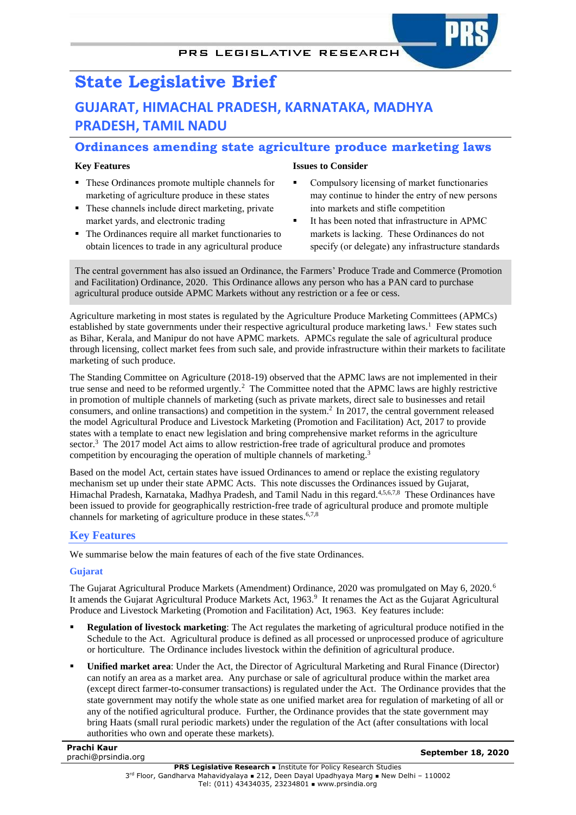# **State Legislative Brief GUJARAT, HIMACHAL PRADESH, KARNATAKA, MADHYA PRADESH, TAMIL NADU**

## **Ordinances amending state agriculture produce marketing laws**

## **Key Features**

- These Ordinances promote multiple channels for marketing of agriculture produce in these states
- These channels include direct marketing, private market yards, and electronic trading
- The Ordinances require all market functionaries to obtain licences to trade in any agricultural produce

#### **Issues to Consider**

- Compulsory licensing of market functionaries may continue to hinder the entry of new persons into markets and stifle competition
- <span id="page-0-7"></span><span id="page-0-6"></span><span id="page-0-5"></span><span id="page-0-4"></span><span id="page-0-3"></span><span id="page-0-2"></span> It has been noted that infrastructure in APMC markets is lacking. These Ordinances do not specify (or delegate) any infrastructure standards

The central government has also issued an Ordinance, the Farmers' Produce Trade and Commerce (Promotion and Facilitation) Ordinance, 2020. This Ordinance allows any person who has a PAN card to purchase agricultural produce outside APMC Markets without any restriction or a fee or cess.

Agriculture marketing in most states is regulated by the Agriculture Produce Marketing Committees (APMCs) established by state governments under their respective agricultural produce marketing laws.<sup>1</sup> Few states such as Bihar, Kerala, and Manipur do not have APMC markets. APMCs regulate the sale of agricultural produce through licensing, collect market fees from such sale, and provide infrastructure within their markets to facilitate marketing of such produce.

<span id="page-0-0"></span>The Standing Committee on Agriculture (2018-19) observed that the APMC laws are not implemented in their true sense and need to be reformed urgently.<sup>2</sup> The Committee noted that the APMC laws are highly restrictive in promotion of multiple channels of marketing (such as private markets, direct sale to businesses and retail consumers, and online transactions) and competition in the system[.](#page-0-0)<sup>2</sup> In 2017, the central government released the model Agricultural Produce and Livestock Marketing (Promotion and Facilitation) Act, 2017 to provide states with a template to enact new legislation and bring comprehensive market reforms in the agriculture sector.<sup>3</sup> The 2017 model Act aims to allow restriction-free trade of agricultural produce and promotes competition by encouraging the operation of multiple channels of marketin[g.](#page-0-1) 3

<span id="page-0-1"></span>Based on the model Act, certain states have issued Ordinances to amend or replace the existing regulatory mechanism set up under their state APMC Acts. This note discusses the Ordinances issued by Gujarat, Himachal Pradesh, Karnataka, Madhya Pradesh, and Tamil Nadu in this regard.<sup>4,5,6,7,8</sup> These Ordinances have been issued to provide for geographically restriction-free trade of agricultural produce and promote multiple channels for marketing of agriculture produce in these states. [6,](#page-0-2)[7,](#page-0-3)[8](#page-0-4)

## **Key Features**

We summarise below the main features of each of the five state Ordinances.

#### **Gujarat**

The Gujarat Agricultural Produce Markets (Amendment) Ordinance, 2020 was promulgated on May 6, 2020.[6](#page-0-2) It amends the Gujarat Agricultural Produce Markets Act, 1963.<sup>9</sup> It renames the Act as the Gujarat Agricultural Produce and Livestock Marketing (Promotion and Facilitation) Act, 1963. Key features include:

- **Regulation of livestock marketing**: The Act regulates the marketing of agricultural produce notified in the Schedule to the Act. Agricultural produce is defined as all processed or unprocessed produce of agriculture or horticulture. The Ordinance includes livestock within the definition of agricultural produce.
- **Unified market area**: Under the Act, the Director of Agricultural Marketing and Rural Finance (Director) can notify an area as a market area. Any purchase or sale of agricultural produce within the market area (except direct farmer-to-consumer transactions) is regulated under the Act. The Ordinance provides that the state government may notify the whole state as one unified market area for regulation of marketing of all or any of the notified agricultural produce. Further, the Ordinance provides that the state government may bring Haats (small rural periodic markets) under the regulation of the Act (after consultations with local authorities who own and operate these markets).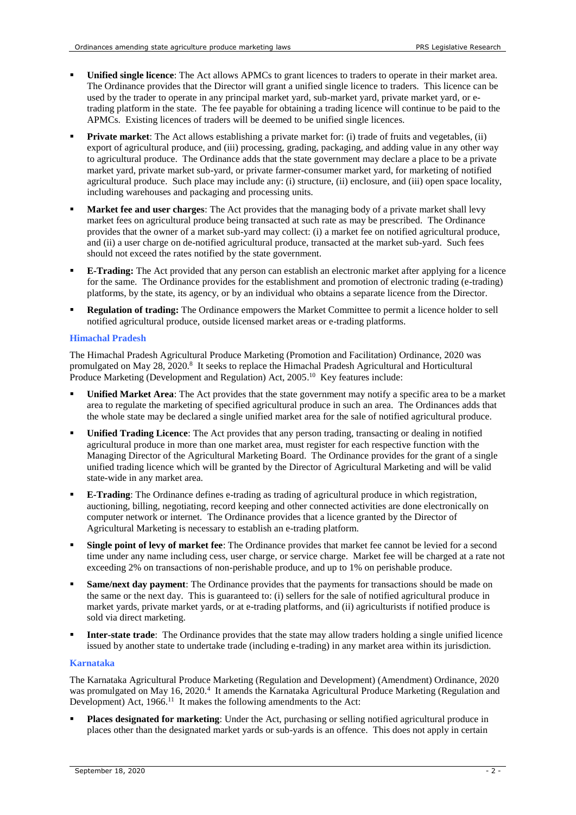- **Unified single licence**: The Act allows APMCs to grant licences to traders to operate in their market area. The Ordinance provides that the Director will grant a unified single licence to traders. This licence can be used by the trader to operate in any principal market yard, sub-market yard, private market yard, or etrading platform in the state. The fee payable for obtaining a trading licence will continue to be paid to the APMCs. Existing licences of traders will be deemed to be unified single licences.
- **Private market**: The Act allows establishing a private market for: (i) trade of fruits and vegetables, (ii) export of agricultural produce, and (iii) processing, grading, packaging, and adding value in any other way to agricultural produce. The Ordinance adds that the state government may declare a place to be a private market yard, private market sub-yard, or private farmer-consumer market yard, for marketing of notified agricultural produce. Such place may include any: (i) structure, (ii) enclosure, and (iii) open space locality, including warehouses and packaging and processing units.
- **Market fee and user charges**: The Act provides that the managing body of a private market shall levy market fees on agricultural produce being transacted at such rate as may be prescribed. The Ordinance provides that the owner of a market sub-yard may collect: (i) a market fee on notified agricultural produce, and (ii) a user charge on de-notified agricultural produce, transacted at the market sub-yard. Such fees should not exceed the rates notified by the state government.
- **E-Trading:** The Act provided that any person can establish an electronic market after applying for a licence for the same. The Ordinance provides for the establishment and promotion of electronic trading (e-trading) platforms, by the state, its agency, or by an individual who obtains a separate licence from the Director.
- **Regulation of trading:** The Ordinance empowers the Market Committee to permit a licence holder to sell notified agricultural produce, outside licensed market areas or e-trading platforms.

#### **Himachal Pradesh**

The Himachal Pradesh Agricultural Produce Marketing (Promotion and Facilitation) Ordinance, 2020 was promulgated on May 2[8](#page-0-4), 2020.<sup>8</sup> It seeks to replace the Himachal Pradesh Agricultural and Horticultural Produce Marketing (Development and Regulation) Act, 2005.<sup>10</sup> Key features include:

- **Unified Market Area**: The Act provides that the state government may notify a specific area to be a market area to regulate the marketing of specified agricultural produce in such an area. The Ordinances adds that the whole state may be declared a single unified market area for the sale of notified agricultural produce.
- **Unified Trading Licence**: The Act provides that any person trading, transacting or dealing in notified agricultural produce in more than one market area, must register for each respective function with the Managing Director of the Agricultural Marketing Board. The Ordinance provides for the grant of a single unified trading licence which will be granted by the Director of Agricultural Marketing and will be valid state-wide in any market area.
- **E-Trading**: The Ordinance defines e-trading as trading of agricultural produce in which registration, auctioning, billing, negotiating, record keeping and other connected activities are done electronically on computer network or internet. The Ordinance provides that a licence granted by the Director of Agricultural Marketing is necessary to establish an e-trading platform.
- **Single point of levy of market fee**: The Ordinance provides that market fee cannot be levied for a second time under any name including cess, user charge, or service charge. Market fee will be charged at a rate not exceeding 2% on transactions of non-perishable produce, and up to 1% on perishable produce.
- **Same/next day payment**: The Ordinance provides that the payments for transactions should be made on the same or the next day. This is guaranteed to: (i) sellers for the sale of notified agricultural produce in market yards, private market yards, or at e-trading platforms, and (ii) agriculturists if notified produce is sold via direct marketing.
- **Inter-state trade**: The Ordinance provides that the state may allow traders holding a single unified licence issued by another state to undertake trade (including e-trading) in any market area within its jurisdiction.

#### **Karnataka**

The Karnataka Agricultural Produce Marketing (Regulation and Development) (Amendment) Ordinance, 2020 was promulgated on May 16, 2020.<sup>[4](#page-0-5)</sup> It amends the Karnataka Agricultural Produce Marketing (Regulation and Development) Act, 1966.<sup>11</sup> It makes the following amendments to the Act:

<span id="page-1-0"></span> **Places designated for marketing**: Under the Act, purchasing or selling notified agricultural produce in places other than the designated market yards or sub-yards is an offence. This does not apply in certain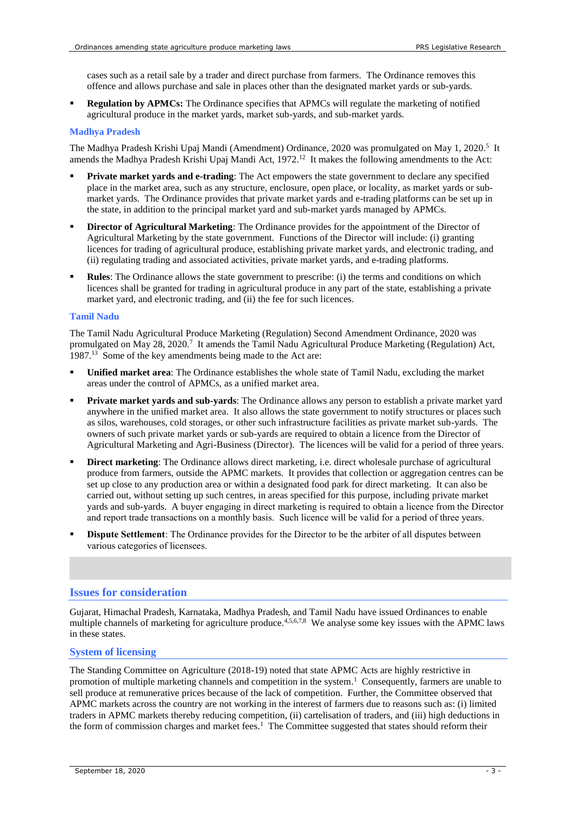<span id="page-2-0"></span>cases such as a retail sale by a trader and direct purchase from farmers. The Ordinance removes this offence and allows purchase and sale in places other than the designated market yards or sub-yards.

 **Regulation by APMCs:** The Ordinance specifies that APMCs will regulate the marketing of notified agricultural produce in the market yards, market sub-yards, and sub-market yards.

#### **Madhya Pradesh**

The Madhya Pradesh Krishi Upaj Mandi (Amendment) Ordinance, 2020 was promulgated on May 1, 2020[.](#page-0-6)<sup>5</sup> It amends the Madhya Pradesh Krishi Upaj Mandi Act, 1972.<sup>12</sup> It makes the following amendments to the Act:

- **Private market yards and e-trading**: The Act empowers the state government to declare any specified place in the market area, such as any structure, enclosure, open place, or locality, as market yards or submarket yards. The Ordinance provides that private market yards and e-trading platforms can be set up in the state, in addition to the principal market yard and sub-market yards managed by APMCs.
- **Director of Agricultural Marketing**: The Ordinance provides for the appointment of the Director of Agricultural Marketing by the state government. Functions of the Director will include: (i) granting licences for trading of agricultural produce, establishing private market yards, and electronic trading, and (ii) regulating trading and associated activities, private market yards, and e-trading platforms.
- **Rules**: The Ordinance allows the state government to prescribe: (i) the terms and conditions on which licences shall be granted for trading in agricultural produce in any part of the state, establishing a private market yard, and electronic trading, and (ii) the fee for such licences.

#### **Tamil Nadu**

The Tamil Nadu Agricultural Produce Marketing (Regulation) Second Amendment Ordinance, 2020 was promulgated on May 28, 2020.<sup>[7](#page-0-3)</sup> It amends the Tamil Nadu Agricultural Produce Marketing (Regulation) Act, 1987.<sup>13</sup> Some of the key amendments being made to the Act are:

- <span id="page-2-1"></span> **Unified market area**: The Ordinance establishes the whole state of Tamil Nadu, excluding the market areas under the control of APMCs, as a unified market area.
- **Private market yards and sub-yards**: The Ordinance allows any person to establish a private market yard anywhere in the unified market area. It also allows the state government to notify structures or places such as silos, warehouses, cold storages, or other such infrastructure facilities as private market sub-yards. The owners of such private market yards or sub-yards are required to obtain a licence from the Director of Agricultural Marketing and Agri-Business (Director). The licences will be valid for a period of three years.
- **Direct marketing**: The Ordinance allows direct marketing, i.e. direct wholesale purchase of agricultural produce from farmers, outside the APMC markets. It provides that collection or aggregation centres can be set up close to any production area or within a designated food park for direct marketing. It can also be carried out, without setting up such centres, in areas specified for this purpose, including private market yards and sub-yards. A buyer engaging in direct marketing is required to obtain a licence from the Director and report trade transactions on a monthly basis. Such licence will be valid for a period of three years.
- **Dispute Settlement**: The Ordinance provides for the Director to be the arbiter of all disputes between various categories of licensees.

#### **Issues for consideration**

Gujarat, Himachal Pradesh, Karnataka, Madhya Pradesh, and Tamil Nadu have issued Ordinances to enable multiple channels of marketing for agriculture produce.<sup>[4,](#page-0-5)[5,](#page-0-6)[6,](#page-0-2)[7,](#page-0-3)[8](#page-0-4)</sup> We analyse some key issues with the APMC laws in these states.

#### **System of licensing**

The Standing Committee on Agriculture (2018-19) noted that state APMC Acts are highly restrictive in promotion of multiple marketing channels and competition in the system. [1](#page-0-7) Consequently, farmers are unable to sell produce at remunerative prices because of the lack of competition. Further, the Committee observed that APMC markets across the country are not working in the interest of farmers due to reasons such as: (i) limited traders in APMC markets thereby reducing competition, (ii) cartelisation of traders, and (iii) high deductions in theform of commission charges and market fees.<sup>1</sup> The Committee suggested that states should reform their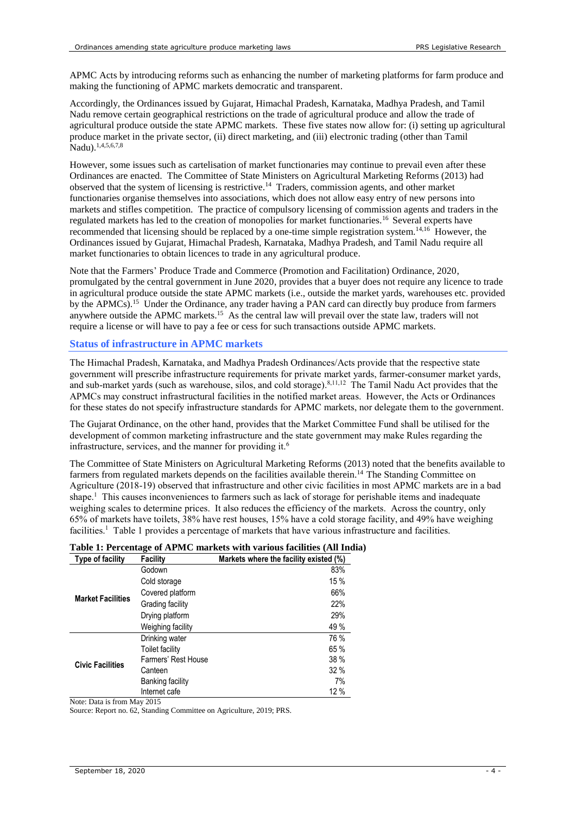APMC Acts by introducing reforms such as enhancing the number of marketing platforms for farm produce and making the functioning of APMC markets democratic and transparent.

Accordingly, the Ordinances issued by Gujarat, Himachal Pradesh, Karnataka, Madhya Pradesh, and Tamil Nadu remove certain geographical restrictions on the trade of agricultural produce and allow the trade of agricultural produce outside the state APMC markets. These five states now allow for: (i) setting up agricultural produce market in the private sector, (ii) direct marketing, and (iii) electronic trading (other than Tamil Nadu). [1,](#page-0-7)[4,](#page-0-5)[5,](#page-0-6)[6,](#page-0-2)[7,](#page-0-3)[8](#page-0-4)

<span id="page-3-0"></span>However, some issues such as cartelisation of market functionaries may continue to prevail even after these Ordinances are enacted. The Committee of State Ministers on Agricultural Marketing Reforms (2013) had observed that the system of licensing is restrictive. <sup>14</sup> Traders, commission agents, and other market functionaries organise themselves into associations, which does not allow easy entry of new persons into markets and stifles competition. The practice of compulsory licensing of commission agents and traders in the regulated markets has led to the creation of monopolies for market functionaries.[16](#page-4-0) Several experts have recommended that licensing should be replaced by a one-time simple registration system.<sup>[14,](#page-3-0)[16](#page-4-0)</sup> However, the Ordinances issued by Gujarat, Himachal Pradesh, Karnataka, Madhya Pradesh, and Tamil Nadu require all market functionaries to obtain licences to trade in any agricultural produce.

<span id="page-3-1"></span>Note that the Farmers' Produce Trade and Commerce (Promotion and Facilitation) Ordinance, 2020, promulgated by the central government in June 2020, provides that a buyer does not require any licence to trade in agricultural produce outside the state APMC markets (i.e., outside the market yards, warehouses etc. provided by the APMCs).<sup>15</sup> Under the Ordinance, any trader having a PAN card can directly buy produce from farmers anywhere outside the APMC markets. [15](#page-3-1) As the central law will prevail over the state law, traders will not require a license or will have to pay a fee or cess for such transactions outside APMC markets.

#### **Status of infrastructure in APMC markets**

The Himachal Pradesh, Karnataka, and Madhya Pradesh Ordinances/Acts provide that the respective state government will prescribe infrastructure requirements for private market yards, farmer-consumer market yards, and sub-market yards (such as warehouse, silos, and cold storage).<sup>[8,](#page-0-4)[11,](#page-1-0)12</sup> The Tamil Nadu Act provides that the APMCs may construct infrastructural facilities in the notified market areas. However, the Acts or Ordinances for these states do not specify infrastructure standards for APMC markets, nor delegate them to the government.

The Gujarat Ordinance, on the other hand, provides that the Market Committee Fund shall be utilised for the development of common marketing infrastructure and the state government may make Rules regarding the infrastructure, services, and the manner for providing it.<sup>[6](#page-0-2)</sup>

The Committee of State Ministers on Agricultural Marketing Reforms (2013) noted that the benefits available to farmers from regulated markets depends on the facilities available therein.<sup>14</sup> The Standing Committee on Agriculture (2018-19) observed that infrastructure and other civic facilities in most APMC markets are in a bad shape[.](#page-0-7)<sup>1</sup> This causes inconveniences to farmers such as lack of storage for perishable items and inadequate weighing scales to determine prices. It also reduces the efficiency of the markets. Across the country, only 65% of markets have toilets, 38% have rest houses, 15% have a cold storage facility, and 49% have weighing facilities.<sup>[1](#page-0-7)</sup> Table 1 provides a percentage of markets that have various infrastructure and facilities.

| Type of facility         | <b>Facility</b>     | Markets where the facility existed (%) |
|--------------------------|---------------------|----------------------------------------|
| <b>Market Facilities</b> | Godown              | 83%                                    |
|                          | Cold storage        | 15%                                    |
|                          | Covered platform    | 66%                                    |
|                          | Grading facility    | 22%                                    |
|                          | Drying platform     | 29%                                    |
|                          | Weighing facility   | 49 %                                   |
| <b>Civic Facilities</b>  | Drinking water      | 76 %                                   |
|                          | Toilet facility     | 65 %                                   |
|                          | Farmers' Rest House | 38%                                    |
|                          | Canteen             | 32%                                    |
|                          | Banking facility    | 7%                                     |
|                          | Internet cafe       | 12%                                    |

|  |  |  | Table 1: Percentage of APMC markets with various facilities (All India) |  |  |  |  |
|--|--|--|-------------------------------------------------------------------------|--|--|--|--|
|  |  |  |                                                                         |  |  |  |  |

Note: Data is from May 2015

Source: Report no. 62, Standing Committee on Agriculture, 2019; PRS.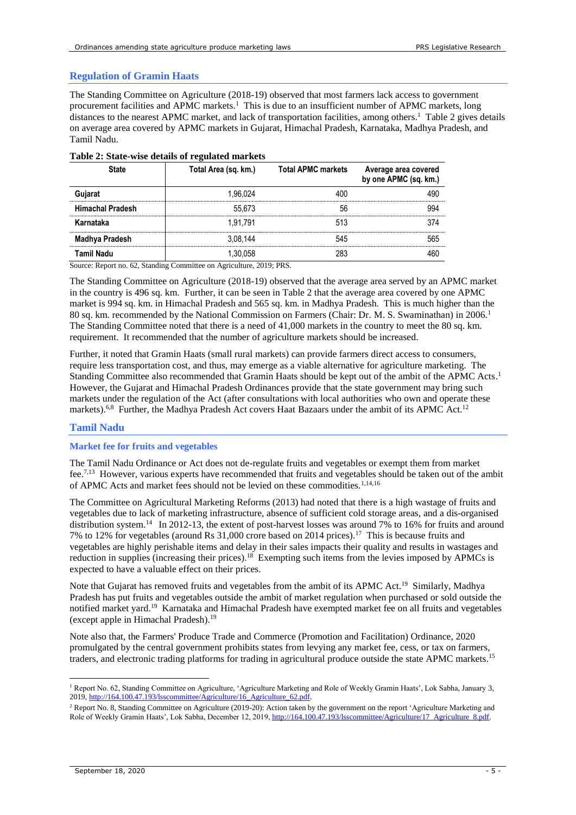#### **Regulation of Gramin Haats**

The Standing Committee on Agriculture (2018-19) observed that most farmers lack access to government procurement facilities and APMC markets.<sup>[1](#page-0-7)</sup> This is due to an insufficient number of APMC markets, long distances to the nearest APMC market, and lack of transportation facilities, among other[s.](#page-0-7)<sup>1</sup> Table 2 gives details on average area covered by APMC markets in Gujarat, Himachal Pradesh, Karnataka, Madhya Pradesh, and Tamil Nadu.

|                         | Total Area (sq. km.) | <b>Total APMC markets</b> | Average area covered<br>by one APMC (sq. km.) |
|-------------------------|----------------------|---------------------------|-----------------------------------------------|
| uiarat                  | 1.96.024             |                           |                                               |
| <b>Himachal Pradesh</b> | 55.673               | 56                        |                                               |
| Karnataka               | 1.91.791             | 513                       |                                               |
| Madhya Pradesh          | 3.08.144             | 545                       |                                               |
| Tamil Nadu              |                      |                           |                                               |

#### **Table 2: State-wise details of regulated markets**

Source: Report no. 62, Standing Committee on Agriculture, 2019; PRS.

The Standing Committee on Agriculture (2018-19) observed that the average area served by an APMC market in the country is 496 sq. km. Further, it can be seen in Table 2 that the average area covered by one APMC market is 994 sq. km. in Himachal Pradesh and 565 sq. km. in Madhya Pradesh. This is much higher than the 80sq. km. recommended by the National Commission on Farmers (Chair: Dr. M. S. Swaminathan) in 2006.<sup>1</sup> The Standing Committee noted that there is a need of 41,000 markets in the country to meet the 80 sq. km. requirement. It recommended that the number of agriculture markets should be increased.

Further, it noted that Gramin Haats (small rural markets) can provide farmers direct access to consumers, require less transportation cost, and thus, may emerge as a viable alternative for agriculture marketing. The Standing Committee also recommended that Gramin Haats should be kept out of the ambit of the APMC Acts[.](#page-0-7)<sup>1</sup> However, the Gujarat and Himachal Pradesh Ordinances provide that the state government may bring such markets under the regulation of the Act (after consultations with local authorities who own and operate these markets).<sup>[6,](#page-0-2)[8](#page-0-4)</sup> Further, the Madhya Pradesh Act covers Haat Bazaars under the ambit of its APMC Act.<sup>[12](#page-2-0)</sup>

#### **Tamil Nadu**

#### **Market fee for fruits and vegetables**

The Tamil Nadu Ordinance or Act does not de-regulate fruits and vegetables or exempt them from market fee.<sup>[7,](#page-0-3)[13](#page-2-1)</sup> However, various experts have recommended that fruits and vegetables should be taken out of the ambit of APMC Acts and market fees should not be levied on these commodities.<sup>[1,](#page-0-7)[14,1](#page-3-0)6</sup>

<span id="page-4-0"></span>The Committee on Agricultural Marketing Reforms (2013) had noted that there is a high wastage of fruits and vegetables due to lack of marketing infrastructure, absence of sufficient cold storage areas, and a dis-organised distribution system.<sup>[14](#page-3-0)</sup> In 2012-13, the extent of post-harvest losses was around 7% to 16% for fruits and around 7% to 12% for vegetables (around Rs 31,000 crore based on 2014 prices).<sup>17</sup> This is because fruits and vegetables are highly perishable items and delay in their sales impacts their quality and results in wastages and reduction in supplies (increasing their prices).<sup>18</sup> Exempting such items from the levies imposed by APMCs is expected to have a valuable effect on their prices.

<span id="page-4-1"></span>Note that Gujarat has removed fruits and vegetables from the ambit of its APMC Act.<sup>19</sup> Similarly, Madhya Pradesh has put fruits and vegetables outside the ambit of market regulation when purchased or sold outside the notified market yard.<sup>[19](#page-4-1)</sup> Karnataka and Himachal Pradesh have exempted market fee on all fruits and vegetables (except apple in Himachal Pradesh). [19](#page-4-1)

Note also that, the Farmers' Produce Trade and Commerce (Promotion and Facilitation) Ordinance, 2020 promulgated by the central government prohibits states from levying any market fee, cess, or tax on farmers, traders, and electronic trading platforms for trading in agricultural produce outside the state APMC markets.<sup>[15](#page-3-1)</sup>

<sup>1</sup> Report No. 62, Standing Committee on Agriculture, 'Agriculture Marketing and Role of Weekly Gramin Haats', Lok Sabha, January 3, 2019[, http://164.100.47.193/lsscommittee/Agriculture/16\\_Agriculture\\_62.pdf.](http://164.100.47.193/lsscommittee/Agriculture/16_Agriculture_62.pdf) <u>.</u>

<sup>&</sup>lt;sup>2</sup> Report No. 8, Standing Committee on Agriculture (2019-20): Action taken by the government on the report 'Agriculture Marketing and Role of Weekly Gramin Haats', Lok Sabha, December 12, 2019, http://164.100.47.193/lsscommittee/Agriculture/17\_Agriculture\_8.pdf.